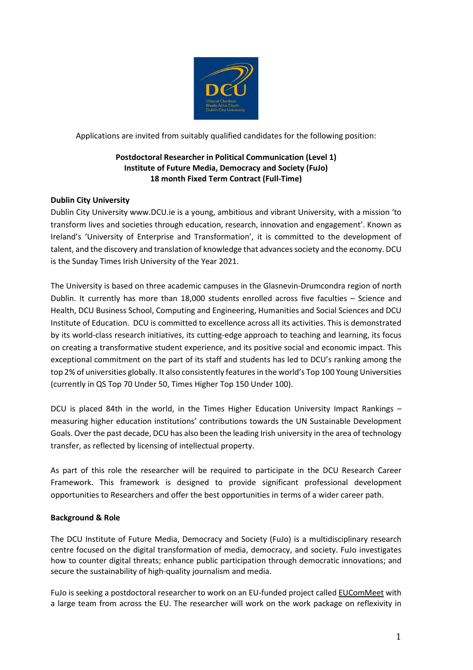

Applications are invited from suitably qualified candidates for the following position:

## **Postdoctoral Researcher in Political Communication (Level 1) Institute of Future Media, Democracy and Society (FuJo) 18 month Fixed Term Contract (Full-Time)**

## **Dublin City University**

Dublin City University www.DCU.ie is a young, ambitious and vibrant University, with a mission 'to transform lives and societies through education, research, innovation and engagement'. Known as Ireland's 'University of Enterprise and Transformation', it is committed to the development of talent, and the discovery and translation of knowledge that advances society and the economy. DCU is the Sunday Times Irish University of the Year 2021.

The University is based on three academic campuses in the Glasnevin-Drumcondra region of north Dublin. It currently has more than 18,000 students enrolled across five faculties – Science and Health, DCU Business School, Computing and Engineering, Humanities and Social Sciences and DCU Institute of Education. DCU is committed to excellence across all its activities. This is demonstrated by its world-class research initiatives, its cutting-edge approach to teaching and learning, its focus on creating a transformative student experience, and its positive social and economic impact. This exceptional commitment on the part of its staff and students has led to DCU's ranking among the top 2% of universities globally. It also consistently features in the world's Top 100 Young Universities (currently in QS Top 70 Under 50, Times Higher Top 150 Under 100).

DCU is placed 84th in the world, in the Times Higher Education University Impact Rankings – measuring higher education institutions' contributions towards the UN Sustainable Development Goals. Over the past decade, DCU has also been the leading Irish university in the area of technology transfer, as reflected by licensing of intellectual property.

As part of this role the researcher will be required to participate in the DCU Research Career Framework. This framework is designed to provide significant professional development opportunities to Researchers and offer the best opportunities in terms of a wider career path.

## **Background & Role**

The DCU Institute of Future Media, Democracy and Society (FuJo) is a multidisciplinary research centre focused on the digital transformation of media, democracy, and society. FuJo investigates how to counter digital threats; enhance public participation through democratic innovations; and secure the sustainability of high-quality journalism and media.

FuJo is seeking a postdoctoral researcher to work on an EU-funded project called [EUComMeet](https://www.eucommeet.eu/) with a large team from across the EU. The researcher will work on the work package on reflexivity in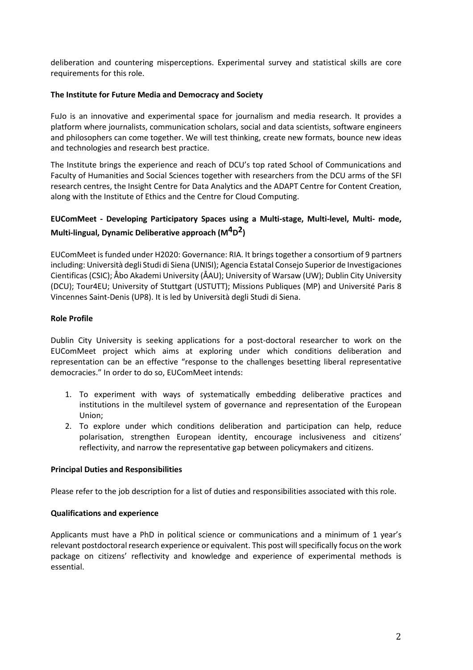deliberation and countering misperceptions. Experimental survey and statistical skills are core requirements for this role.

### **The Institute for Future Media and Democracy and Society**

FuJo is an innovative and experimental space for journalism and media research. It provides a platform where journalists, communication scholars, social and data scientists, software engineers and philosophers can come together. We will test thinking, create new formats, bounce new ideas and technologies and research best practice.

The Institute brings the experience and reach of DCU's top rated School of Communications and Faculty of Humanities and Social Sciences together with researchers from the DCU arms of the SFI research centres, the Insight Centre for Data Analytics and the ADAPT Centre for Content Creation, along with the Institute of Ethics and the Centre for Cloud Computing.

# **EUComMeet - Developing Participatory Spaces using a Multi-stage, Multi-level, Multi- mode, Multi-lingual, Dynamic Deliberative approach (M4D2)**

EUComMeet is funded under H2020: Governance: RIA. It brings together a consortium of 9 partners including: Università degli Studi di Siena (UNISI); Agencia Estatal Consejo Superior de Investigaciones Cientificas (CSIC); Åbo Akademi University (ÅAU); University of Warsaw (UW); Dublin City University (DCU); Tour4EU; University of Stuttgart (USTUTT); Missions Publiques (MP) and Université Paris 8 Vincennes Saint-Denis (UP8). It is led by Università degli Studi di Siena.

### **Role Profile**

Dublin City University is seeking applications for a post-doctoral researcher to work on the EUComMeet project which aims at exploring under which conditions deliberation and representation can be an effective "response to the challenges besetting liberal representative democracies." In order to do so, EUComMeet intends:

- 1. To experiment with ways of systematically embedding deliberative practices and institutions in the multilevel system of governance and representation of the European Union;
- 2. To explore under which conditions deliberation and participation can help, reduce polarisation, strengthen European identity, encourage inclusiveness and citizens' reflectivity, and narrow the representative gap between policymakers and citizens.

#### **Principal Duties and Responsibilities**

Please refer to the job description for a list of duties and responsibilities associated with this role.

#### **Qualifications and experience**

Applicants must have a PhD in political science or communications and a minimum of 1 year's relevant postdoctoral research experience or equivalent. This post will specifically focus on the work package on citizens' reflectivity and knowledge and experience of experimental methods is essential.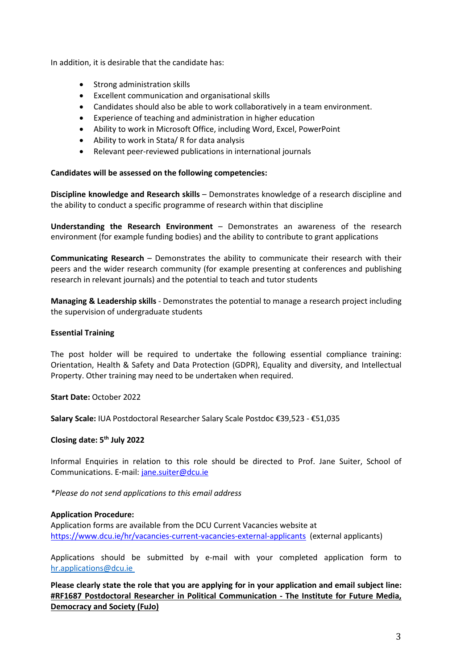In addition, it is desirable that the candidate has:

- Strong administration skills
- Excellent communication and organisational skills
- Candidates should also be able to work collaboratively in a team environment.
- Experience of teaching and administration in higher education
- Ability to work in Microsoft Office, including Word, Excel, PowerPoint
- Ability to work in Stata/ R for data analysis
- Relevant peer-reviewed publications in international journals

#### **Candidates will be assessed on the following competencies:**

**Discipline knowledge and Research skills** – Demonstrates knowledge of a research discipline and the ability to conduct a specific programme of research within that discipline

**Understanding the Research Environment** – Demonstrates an awareness of the research environment (for example funding bodies) and the ability to contribute to grant applications

**Communicating Research** – Demonstrates the ability to communicate their research with their peers and the wider research community (for example presenting at conferences and publishing research in relevant journals) and the potential to teach and tutor students

**Managing & Leadership skills** - Demonstrates the potential to manage a research project including the supervision of undergraduate students

#### **Essential Training**

The post holder will be required to undertake the following essential compliance training: Orientation, Health & Safety and Data Protection (GDPR), Equality and diversity, and Intellectual Property. Other training may need to be undertaken when required.

**Start Date:** October 2022

**Salary Scale:** IUA Postdoctoral Researcher Salary Scale Postdoc €39,523 - €51,035

#### **Closing date: 5th July 2022**

Informal Enquiries in relation to this role should be directed to Prof. Jane Suiter, School of Communications. E-mail[: jane.suiter@dcu.ie](mailto:jane.suiter@dcu.ie)

*\*Please do not send applications to this email address* 

#### **Application Procedure:**

Application forms are available from the DCU Current Vacancies website at <https://www.dcu.ie/hr/vacancies-current-vacancies-external-applicants> (external applicants)

Applications should be submitted by e-mail with your completed application form to [hr.applications@dcu.ie](mailto:hr.applications@dcu.ie) 

**Please clearly state the role that you are applying for in your application and email subject line: #RF1687 Postdoctoral Researcher in Political Communication - The Institute for Future Media, Democracy and Society (FuJo)**